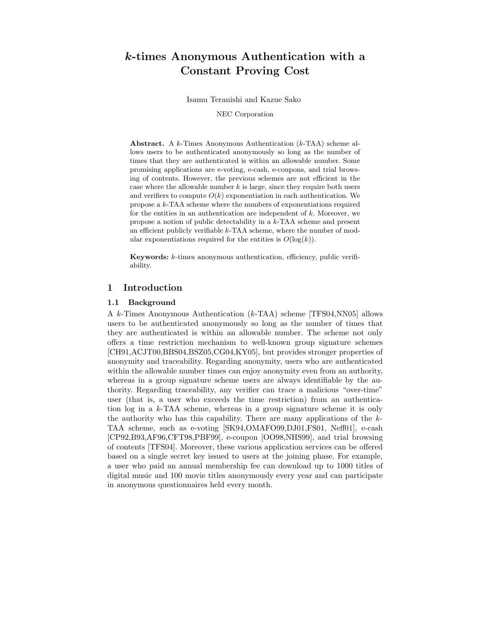# k-times Anonymous Authentication with a Constant Proving Cost

Isamu Teranishi and Kazue Sako

NEC Corporation

Abstract. A k-Times Anonymous Authentication (k-TAA) scheme allows users to be authenticated anonymously so long as the number of times that they are authenticated is within an allowable number. Some promising applications are e-voting, e-cash, e-coupons, and trial browsing of contents. However, the previous schemes are not efficient in the case where the allowable number  $k$  is large, since they require both users and verifiers to compute  $O(k)$  exponentiation in each authentication. We propose a k-TAA scheme where the numbers of exponentiations required for the entities in an authentication are independent of  $k$ . Moreover, we propose a notion of public detectability in a k-TAA scheme and present an efficient publicly verifiable  $k$ -TAA scheme, where the number of modular exponentiations required for the entities is  $O(\log(k))$ .

Keywords: k-times anonymous authentication, efficiency, public verifiability.

### 1 Introduction

#### 1.1 Background

A k-Times Anonymous Authentication (k-TAA) scheme [TFS04,NN05] allows users to be authenticated anonymously so long as the number of times that they are authenticated is within an allowable number. The scheme not only offers a time restriction mechanism to well-known group signature schemes [CH91,ACJT00,BBS04,BSZ05,CG04,KY05], but provides stronger properties of anonymity and traceability. Regarding anonymity, users who are authenticated within the allowable number times can enjoy anonymity even from an authority, whereas in a group signature scheme users are always identifiable by the authority. Regarding traceability, any verifier can trace a malicious "over-time" user (that is, a user who exceeds the time restriction) from an authentication log in a k-TAA scheme, whereas in a group signature scheme it is only the authority who has this capability. There are many applications of the k-TAA scheme, such as e-voting [SK94,OMAFO99,DJ01,FS01, Neff01], e-cash [CP92,B93,AF96,CFT98,PBF99], e-coupon [OO98,NHS99], and trial browsing of contents [TFS04]. Moreover, these various application services can be offered based on a single secret key issued to users at the joining phase. For example, a user who paid an annual membership fee can download up to 1000 titles of digital music and 100 movie titles anonymously every year and can participate in anonymous questionnaires held every month.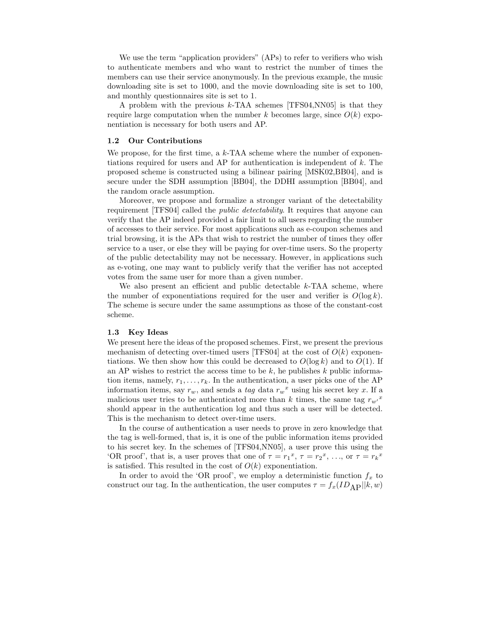We use the term "application providers" (APs) to refer to verifiers who wish to authenticate members and who want to restrict the number of times the members can use their service anonymously. In the previous example, the music downloading site is set to 1000, and the movie downloading site is set to 100, and monthly questionnaires site is set to 1.

A problem with the previous  $k$ -TAA schemes [TFS04,NN05] is that they require large computation when the number k becomes large, since  $O(k)$  exponentiation is necessary for both users and AP.

#### 1.2 Our Contributions

We propose, for the first time, a  $k$ -TAA scheme where the number of exponentiations required for users and AP for authentication is independent of k. The proposed scheme is constructed using a bilinear pairing [MSK02,BB04], and is secure under the SDH assumption [BB04], the DDHI assumption [BB04], and the random oracle assumption.

Moreover, we propose and formalize a stronger variant of the detectability requirement [TFS04] called the public detectability. It requires that anyone can verify that the AP indeed provided a fair limit to all users regarding the number of accesses to their service. For most applications such as e-coupon schemes and trial browsing, it is the APs that wish to restrict the number of times they offer service to a user, or else they will be paying for over-time users. So the property of the public detectability may not be necessary. However, in applications such as e-voting, one may want to publicly verify that the verifier has not accepted votes from the same user for more than a given number.

We also present an efficient and public detectable  $k$ -TAA scheme, where the number of exponentiations required for the user and verifier is  $O(\log k)$ . The scheme is secure under the same assumptions as those of the constant-cost scheme.

#### 1.3 Key Ideas

We present here the ideas of the proposed schemes. First, we present the previous mechanism of detecting over-timed users [TFS04] at the cost of  $O(k)$  exponentiations. We then show how this could be decreased to  $O(\log k)$  and to  $O(1)$ . If an AP wishes to restrict the access time to be  $k$ , he publishes  $k$  public information items, namely,  $r_1, \ldots, r_k$ . In the authentication, a user picks one of the AP information items, say  $r_w$ , and sends a *tag* data  $r_w^x$  using his secret key x. If a malicious user tries to be authenticated more than k times, the same tag  $r_{w'}{}^x$ should appear in the authentication log and thus such a user will be detected. This is the mechanism to detect over-time users.

In the course of authentication a user needs to prove in zero knowledge that the tag is well-formed, that is, it is one of the public information items provided to his secret key. In the schemes of [TFS04,NN05], a user prove this using the 'OR proof', that is, a user proves that one of  $\tau = r_1^x$ ,  $\tau = r_2^x$ , ..., or  $\tau = r_k^x$ is satisfied. This resulted in the cost of  $O(k)$  exponentiation.

In order to avoid the 'OR proof', we employ a deterministic function  $f_x$  to construct our tag. In the authentication, the user computes  $\tau = f_x(ID_{\text{AP}} || k, w)$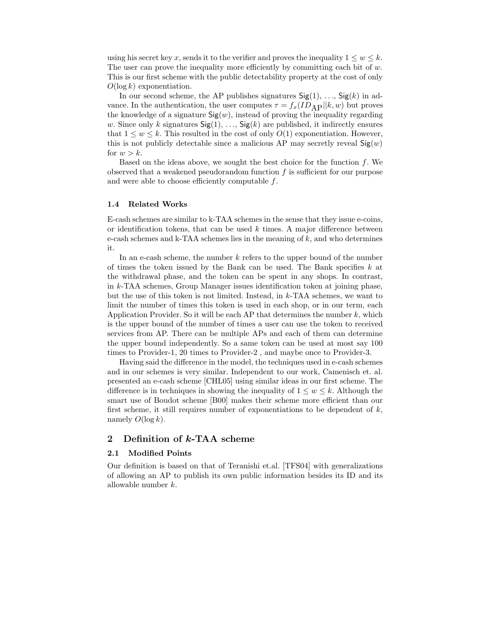using his secret key x, sends it to the verifier and proves the inequality  $1 \leq w \leq k$ . The user can prove the inequality more efficiently by committing each bit of  $w$ . This is our first scheme with the public detectability property at the cost of only  $O(\log k)$  exponentiation.

In our second scheme, the AP publishes signatures  $\text{Sig}(1), \ldots, \text{Sig}(k)$  in advance. In the authentication, the user computes  $\tau = f_x(ID_{AP} || k, w)$  but proves the knowledge of a signature  $\text{Sig}(w)$ , instead of proving the inequality regarding w. Since only k signatures  $\mathsf{Sig}(1), \ldots, \mathsf{Sig}(k)$  are published, it indirectly ensures that  $1 \leq w \leq k$ . This resulted in the cost of only  $O(1)$  exponentiation. However, this is not publicly detectable since a malicious AP may secretly reveal  $\text{Sig}(w)$ for  $w > k$ .

Based on the ideas above, we sought the best choice for the function  $f$ . We observed that a weakened pseudorandom function  $f$  is sufficient for our purpose and were able to choose efficiently computable  $f$ .

#### 1.4 Related Works

E-cash schemes are similar to k-TAA schemes in the sense that they issue e-coins, or identification tokens, that can be used  $k$  times. A major difference between e-cash schemes and  $k-TAA$  schemes lies in the meaning of k, and who determines it.

In an e-cash scheme, the number  $k$  refers to the upper bound of the number of times the token issued by the Bank can be used. The Bank specifies  $k$  at the withdrawal phase, and the token can be spent in any shops. In contrast, in k-TAA schemes, Group Manager issues identification token at joining phase, but the use of this token is not limited. Instead, in k-TAA schemes, we want to limit the number of times this token is used in each shop, or in our term, each Application Provider. So it will be each AP that determines the number  $k$ , which is the upper bound of the number of times a user can use the token to received services from AP. There can be multiple APs and each of them can determine the upper bound independently. So a same token can be used at most say 100 times to Provider-1, 20 times to Provider-2 , and maybe once to Provider-3.

Having said the difference in the model, the techniques used in e-cash schemes and in our schemes is very similar. Independent to our work, Camenisch et. al. presented an e-cash scheme [CHL05] using similar ideas in our first scheme. The difference is in techniques in showing the inequality of  $1 \leq w \leq k$ . Although the smart use of Boudot scheme [B00] makes their scheme more efficient than our first scheme, it still requires number of exponentiations to be dependent of  $k$ , namely  $O(\log k)$ .

#### 2 Definition of k-TAA scheme

#### 2.1 Modified Points

Our definition is based on that of Teranishi et.al. [TFS04] with generalizations of allowing an AP to publish its own public information besides its ID and its allowable number k.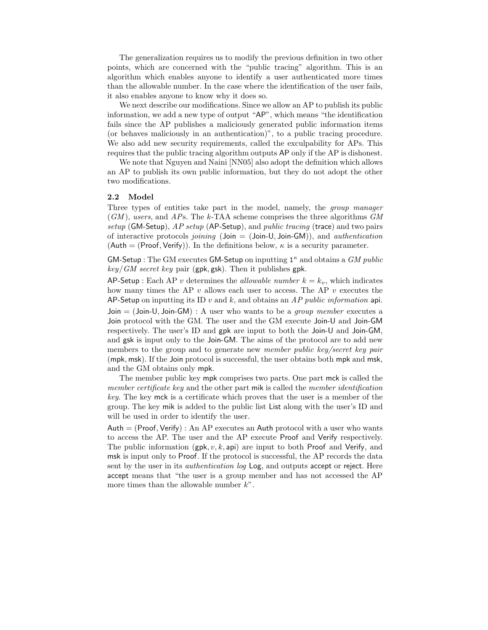The generalization requires us to modify the previous definition in two other points, which are concerned with the "public tracing" algorithm. This is an algorithm which enables anyone to identify a user authenticated more times than the allowable number. In the case where the identification of the user fails, it also enables anyone to know why it does so.

We next describe our modifications. Since we allow an AP to publish its public information, we add a new type of output "AP", which means "the identification fails since the AP publishes a maliciously generated public information items (or behaves maliciously in an authentication)", to a public tracing procedure. We also add new security requirements, called the exculpability for APs. This requires that the public tracing algorithm outputs AP only if the AP is dishonest.

We note that Nguyen and Naini [NN05] also adopt the definition which allows an AP to publish its own public information, but they do not adopt the other two modifications.

#### 2.2 Model

Three types of entities take part in the model, namely, the *group manager*  $(GM)$ , users, and APs. The k-TAA scheme comprises the three algorithms  $GM$ setup (GM-Setup),  $AP$  setup (AP-Setup), and *public tracing* (trace) and two pairs of interactive protocols *joining* (Join =  $(\text{Join-U}, \text{Join-GM})$ ), and *authentication* (Auth = (Proof, Verify)). In the definitions below,  $\kappa$  is a security parameter.

 $GM$ -Setup: The GM executes GM-Setup on inputting  $1^{\kappa}$  and obtains a GM public  $key/GM$  secret key pair (gpk, gsk). Then it publishes gpk.

AP-Setup : Each AP v determines the *allowable number*  $k = k_v$ , which indicates how many times the AP  $v$  allows each user to access. The AP  $v$  executes the AP-Setup on inputting its ID v and k, and obtains an AP public information api.

 $Join = (Join-U, Join-GM) : A$  user who wants to be a *group member* executes a Join protocol with the GM. The user and the GM execute Join-U and Join-GM respectively. The user's ID and gpk are input to both the Join-U and Join-GM, and gsk is input only to the Join-GM. The aims of the protocol are to add new members to the group and to generate new *member public key/secret key pair* (mpk, msk). If the Join protocol is successful, the user obtains both mpk and msk, and the GM obtains only mpk.

The member public key mpk comprises two parts. One part mck is called the member certificate key and the other part mik is called the member identification key. The key mck is a certificate which proves that the user is a member of the group. The key mik is added to the public list List along with the user's ID and will be used in order to identify the user.

 $\mathsf{Auth} = (\mathsf{Proof}, \mathsf{Verify}) : \mathsf{An}\; \mathsf{AP}\;$  executes an  $\mathsf{Auth}\;$  protocol with a user who wants to access the AP. The user and the AP execute Proof and Verify respectively. The public information  $(gpk, v, k, qpi)$  are input to both Proof and Verify, and msk is input only to Proof. If the protocol is successful, the AP records the data sent by the user in its *authentication log* Log, and outputs accept or reject. Here accept means that "the user is a group member and has not accessed the AP more times than the allowable number  $k$ ".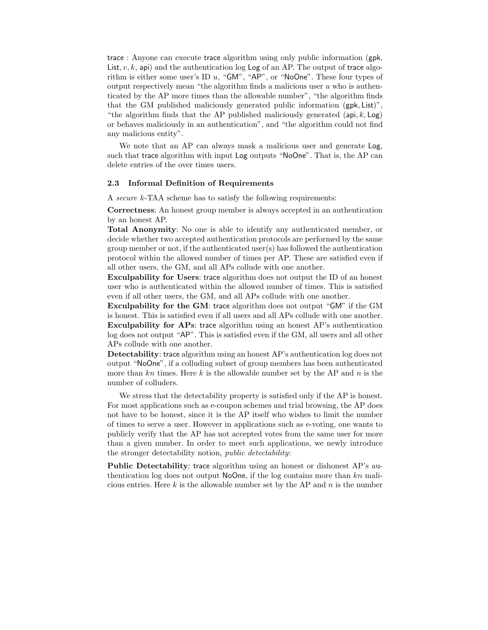trace : Anyone can execute trace algorithm using only public information (gpk, List,  $v, k$ , api) and the authentication log Log of an AP. The output of trace algorithm is either some user's ID  $u$ , "GM", "AP", or "NoOne". These four types of output respectively mean "the algorithm finds a malicious user  $u$  who is authenticated by the AP more times than the allowable number", "the algorithm finds that the GM published maliciously generated public information (gpk, List)", "the algorithm finds that the AP published maliciously generated (api,  $k$ , Log) or behaves maliciously in an authentication", and "the algorithm could not find any malicious entity".

We note that an AP can always mask a malicious user and generate Log, such that trace algorithm with input Log outputs "NoOne". That is, the AP can delete entries of the over times users.

#### 2.3 Informal Definition of Requirements

A secure k-TAA scheme has to satisfy the following requirements:

Correctness: An honest group member is always accepted in an authentication by an honest AP.

Total Anonymity: No one is able to identify any authenticated member, or decide whether two accepted authentication protocols are performed by the same group member or not, if the authenticated user(s) has followed the authentication protocol within the allowed number of times per AP. These are satisfied even if all other users, the GM, and all APs collude with one another.

Exculpability for Users: trace algorithm does not output the ID of an honest user who is authenticated within the allowed number of times. This is satisfied even if all other users, the GM, and all APs collude with one another.

Exculpability for the GM: trace algorithm does not output "GM" if the GM is honest. This is satisfied even if all users and all APs collude with one another. Exculpability for APs: trace algorithm using an honest AP's authentication log does not output "AP". This is satisfied even if the GM, all users and all other APs collude with one another.

Detectability: trace algorithm using an honest AP's authentication log does not output "NoOne", if a colluding subset of group members has been authenticated more than  $kn$  times. Here k is the allowable number set by the AP and n is the number of colluders.

We stress that the detectability property is satisfied only if the AP is honest. For most applications such as e-coupon schemes and trial browsing, the AP does not have to be honest, since it is the AP itself who wishes to limit the number of times to serve a user. However in applications such as e-voting, one wants to publicly verify that the AP has not accepted votes from the same user for more than a given number. In order to meet such applications, we newly introduce the stronger detectability notion, public detectability:

Public Detectability: trace algorithm using an honest or dishonest AP's authentication log does not output NoOne, if the log contains more than  $kn$  malicious entries. Here k is the allowable number set by the AP and  $n$  is the number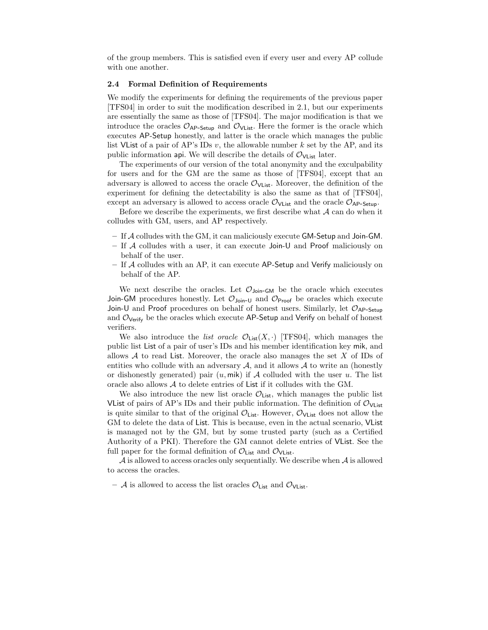of the group members. This is satisfied even if every user and every AP collude with one another.

#### 2.4 Formal Definition of Requirements

We modify the experiments for defining the requirements of the previous paper [TFS04] in order to suit the modification described in 2.1, but our experiments are essentially the same as those of [TFS04]. The major modification is that we introduce the oracles  $\mathcal{O}_{AP-Setup}$  and  $\mathcal{O}_{VList}$ . Here the former is the oracle which executes AP-Setup honestly, and latter is the oracle which manages the public list VList of a pair of AP's IDs  $v$ , the allowable number  $k$  set by the AP, and its public information api. We will describe the details of  $\mathcal{O}_{\mathsf{VList}}$  later.

The experiments of our version of the total anonymity and the exculpability for users and for the GM are the same as those of [TFS04], except that an adversary is allowed to access the oracle  $\mathcal{O}_{\mathsf{VList}}$ . Moreover, the definition of the experiment for defining the detectability is also the same as that of [TFS04], except an adversary is allowed to access oracle  $\mathcal{O}_{\mathsf{VList}}$  and the oracle  $\mathcal{O}_{\mathsf{AP}\text{-}\mathsf{Setup}}$ .

Before we describe the experiments, we first describe what  $\mathcal A$  can do when it colludes with GM, users, and AP respectively.

- If A colludes with the GM, it can maliciously execute GM-Setup and Join-GM.
- If A colludes with a user, it can execute Join-U and Proof maliciously on behalf of the user.
- If  $\mathcal A$  colludes with an AP, it can execute AP-Setup and Verify maliciously on behalf of the AP.

We next describe the oracles. Let  $\mathcal{O}_{\text{Join-GM}}$  be the oracle which executes Join-GM procedures honestly. Let  $\mathcal{O}_{Join-U}$  and  $\mathcal{O}_{Proof}$  be oracles which execute Join-U and Proof procedures on behalf of honest users. Similarly, let  $\mathcal{O}_{AP-Setup}$ and  $\mathcal{O}_{\mathsf{Verify}}$  be the oracles which execute AP-Setup and Verify on behalf of honest verifiers.

We also introduce the *list oracle*  $\mathcal{O}_{List}(X, \cdot)$  [TFS04], which manages the public list List of a pair of user's IDs and his member identification key mik, and allows  $A$  to read List. Moreover, the oracle also manages the set  $X$  of IDs of entities who collude with an adversary  $A$ , and it allows  $A$  to write an (honestly or dishonestly generated) pair  $(u, \text{mik})$  if A colluded with the user u. The list oracle also allows  $A$  to delete entries of List if it colludes with the GM.

We also introduce the new list oracle  $\mathcal{O}_{List}$ , which manages the public list VList of pairs of AP's IDs and their public information. The definition of  $\mathcal{O}_{VList}$ is quite similar to that of the original  $\mathcal{O}_{\text{List}}$ . However,  $\mathcal{O}_{\text{VList}}$  does not allow the GM to delete the data of List. This is because, even in the actual scenario, VList is managed not by the GM, but by some trusted party (such as a Certified Authority of a PKI). Therefore the GM cannot delete entries of VList. See the full paper for the formal definition of  $\mathcal{O}_{List}$  and  $\mathcal{O}_{VList}$ .

 $\mathcal A$  is allowed to access oracles only sequentially. We describe when  $\mathcal A$  is allowed to access the oracles.

– A is allowed to access the list oracles  $\mathcal{O}_{List}$  and  $\mathcal{O}_{VList}$ .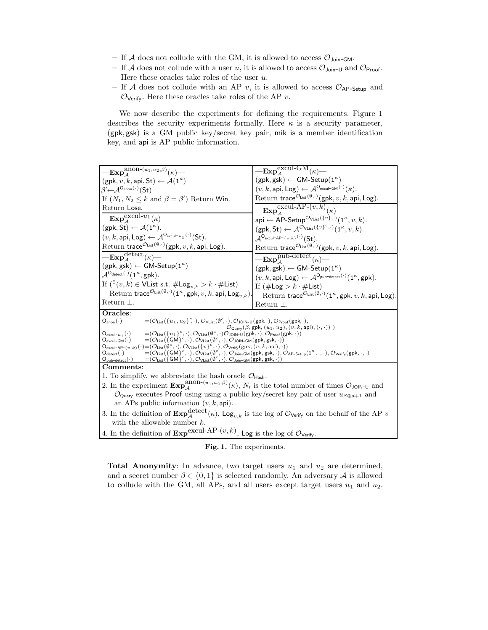- If A does not collude with the GM, it is allowed to access  $\mathcal{O}_{Join-GM}$ .
- If A does not collude with a user u, it is allowed to access  $\mathcal{O}_{Join-U}$  and  $\mathcal{O}_{Proof}$ . Here these oracles take roles of the user  $u$ .
- If A does not collude with an AP v, it is allowed to access  $\mathcal{O}_{AP-Setup}$  and  $\mathcal{O}_{\text{Verify}}$ . Here these oracles take roles of the AP v.

We now describe the experiments for defining the requirements. Figure 1 describes the security experiments formally. Here  $\kappa$  is a security parameter, (gpk, gsk) is a GM public key/secret key pair, mik is a member identification key, and api is AP public information.

| $-{\rm Exp}_{A}^{{\rm anom}-(u_1,u_2,\beta)}(\kappa)$ —                                                                                                                                                                                                                                                                                                                                                                                                                                                                              | $-{\mathbf{Exp}}_{A}^{\mathrm{excul-GM}}(\kappa)$ —                                                                               |  |  |  |
|--------------------------------------------------------------------------------------------------------------------------------------------------------------------------------------------------------------------------------------------------------------------------------------------------------------------------------------------------------------------------------------------------------------------------------------------------------------------------------------------------------------------------------------|-----------------------------------------------------------------------------------------------------------------------------------|--|--|--|
| $(gpk, v, k, api, St) \leftarrow \mathcal{A}(1^{\kappa})$                                                                                                                                                                                                                                                                                                                                                                                                                                                                            | $(gpk, gsk) \leftarrow GM-Setup(1^{\kappa})$                                                                                      |  |  |  |
| $\beta' \!\! \leftarrow \!\! \mathcal{A}^{\mathsf{O}_{\mathsf{anon}}(\,\cdot\,)}(\mathsf{St})$                                                                                                                                                                                                                                                                                                                                                                                                                                       | $(v,k,\mathsf{api},\mathsf{Log}) \leftarrow \mathcal{A}^{\mathsf{O}_{\mathsf{excul-GM}}(\cdot)}(\kappa).$                         |  |  |  |
| If $(N_1, N_2 \leq k$ and $\beta = \beta')$ Return Win.                                                                                                                                                                                                                                                                                                                                                                                                                                                                              | Return trace $^{\mathcal{O}_{\mathsf{List}}(\emptyset, \cdot)}(\mathsf{gpk}, v, k, \mathsf{api}, \mathsf{Log}).$                  |  |  |  |
| Return Lose.                                                                                                                                                                                                                                                                                                                                                                                                                                                                                                                         | $-\mathbf{Exp}_{\mathcal{A}}^{\mathrm{excul-AP-}(v,\overleftrightarrow{k)}_{(\kappa)\_\mathcal{A}}$                               |  |  |  |
| $-{\rm Exp}_{A}^{{\rm excl-}u_1}(\kappa) -$                                                                                                                                                                                                                                                                                                                                                                                                                                                                                          | $\mathsf{api} \leftarrow \mathsf{AP}\text{-}\mathsf{Setup}^{\mathcal{O}_{\mathsf{VList}}(\{v\},\cdot)}(\mathbf{1}^{\kappa},v,k).$ |  |  |  |
| $(gpk, St) \leftarrow \mathcal{A}(1^{\kappa}).$                                                                                                                                                                                                                                                                                                                                                                                                                                                                                      | $(\mathsf{gpk}, \mathsf{St}) \leftarrow \mathcal{A}^{\mathcal{O}_{\mathsf{VList}}(\{v\}^c, \cdot)}(1^{\kappa}, v, k).$            |  |  |  |
| $(v, k, \mathsf{api}, \mathsf{Log}) \leftarrow \mathcal{A}^{\mathsf{O}_{\mathsf{excul} = u_1}(\cdot)}(\mathsf{St}).$                                                                                                                                                                                                                                                                                                                                                                                                                 | $\mathcal{A}^{\mathsf{O}_{\mathsf{excul}\text{-}\mathsf{AP}^{\mathsf{L}}(v,k)}(\cdot)}(\mathsf{St}).$                             |  |  |  |
| Return trace ${}^{{\mathcal{O}}_{\mathsf{List}}(\emptyset, \cdot)}(\mathsf{gpk}, v, k, \mathsf{api}, \mathsf{Log}).$                                                                                                                                                                                                                                                                                                                                                                                                                 | Return trace $^{\mathcal{O}_{\text{List}}(\emptyset, \cdot)}(\text{gpk}, v, k, \text{api}, \text{Log}).$                          |  |  |  |
| $-{\bf Exp}^{\rm detect}_4(\kappa)$ —                                                                                                                                                                                                                                                                                                                                                                                                                                                                                                | $-{\bf Exp}_{A}^{\rm pub-detect}(\kappa)$ —                                                                                       |  |  |  |
| $(gpk, gsk) \leftarrow GM-Setup(1^{\kappa})$                                                                                                                                                                                                                                                                                                                                                                                                                                                                                         | $(\mathsf{gpk}, \mathsf{gsk}) \leftarrow \mathsf{GM}\text{-}\mathsf{Setup}(1^\kappa)$                                             |  |  |  |
| $\mathcal{A}^{\mathsf{O}_{\mathsf{detect}}(\cdot)}(1^{\kappa}, \mathsf{gpk}).$                                                                                                                                                                                                                                                                                                                                                                                                                                                       | $(v, k, \mathsf{api}, \mathsf{Log}) \leftarrow \mathcal{A}^{\mathsf{O}_{\mathsf{pub-detect}}(\cdot)}(1^{\kappa}, \mathsf{gpk}).$  |  |  |  |
| If $({^{\exists}}(v,k) \in \mathsf{VList} \text{ s.t. } \#Log_{v,k} > k \cdot \#List)$                                                                                                                                                                                                                                                                                                                                                                                                                                               | If $(\#Log > k \cdot \#List)$                                                                                                     |  |  |  |
| Return trace ${}^{\mathcal{O}_{\text{List}}(\emptyset, \cdot)}(1^{\kappa}, \text{gpk}, v, k, \text{api}, \text{Log}_{v,k}).$                                                                                                                                                                                                                                                                                                                                                                                                         | Return trace $\mathcal{O}_{List}(\emptyset, \cdot)$ (1 <sup><math>\kappa</math></sup> , gpk, v, k, api, Log).                     |  |  |  |
| Return $\perp$ .                                                                                                                                                                                                                                                                                                                                                                                                                                                                                                                     | Return $\perp$ .                                                                                                                  |  |  |  |
| Oracles:                                                                                                                                                                                                                                                                                                                                                                                                                                                                                                                             |                                                                                                                                   |  |  |  |
| $O_{\text{anon}}(\cdot)$<br>$=(\mathcal{O}_{\mathsf{List}}(\{u_1, u_2\}^c, \cdot), \mathcal{O}_{\mathsf{VList}}(\emptyset^c, \cdot), \mathcal{O}_{\mathsf{JOIN-U}}(\mathsf{gpk}, \cdot), \mathcal{O}_{\mathsf{Proof}}(\mathsf{gpk}, \cdot),$                                                                                                                                                                                                                                                                                         |                                                                                                                                   |  |  |  |
| $\mathcal{O}_{\mathsf{Query}}(\beta, \mathsf{gpk}, (u_1, u_2), (v, k, \mathsf{api}), (\cdot, \cdot))$ )<br>$=(\mathcal{O}_{\mathsf{List}}(\{u_1\}^c,\cdot),\mathcal{O}_{\mathsf{VList}}(\emptyset^c,\cdot)\mathcal{O}_{\mathsf{JOIN-U}}(\mathsf{gpk},\cdot),\mathcal{O}_{\mathsf{Proof}}(\mathsf{gpk},\cdot))$<br>$O_{\mathsf{excul-}u_1}(\cdot)$                                                                                                                                                                                    |                                                                                                                                   |  |  |  |
| $= ( \mathcal{O}_{\mathsf{List}}(\{\mathsf{GM}\}^c, \cdot ), \mathcal{O}_{\mathsf{VList}}(\emptyset^c, \cdot ), \mathcal{O}_{\mathsf{JOIN-GM}}(\mathsf{gpk}, \mathsf{gsk}, \cdot ))$<br>$\mathrm{O}_{\mathsf{excul-GM}}(\cdot)$                                                                                                                                                                                                                                                                                                      |                                                                                                                                   |  |  |  |
| $O_{\text{excul-AP-}(v,k)}(\cdot) = (O_{\text{List}}(\emptyset^c, \cdot), O_{\text{VList}}(\{v\}^c, \cdot), O_{\text{Verify}}(\text{gpk}, (v, k, \text{api}), \cdot))$                                                                                                                                                                                                                                                                                                                                                               |                                                                                                                                   |  |  |  |
| $=(\mathcal{O}_{\sf List}(\{\sf GM\}^c, \cdot), \mathcal{O}_{\sf VList}(\emptyset^c, \cdot), \mathcal{O}_{\sf Join-GM}(\sf gpk, gsk, \cdot), \mathcal{O}_{\sf AP-Setup}(1^\kappa, \cdot, \cdot), \mathcal{O}_{\sf Verify}(\sf gpk, \cdot, \cdot)$<br>$O_{\text{detect}}(\cdot)$<br>$\!=\!(\mathcal{O}_{\mathsf{List}}(\{\mathsf{GM}\}^c, \cdot), \underline{\mathcal{O}}_{\mathsf{VList}}(\emptyset^c, \cdot), \underline{\mathcal{O}}_{\mathsf{Join\text{-}GM}}(\mathsf{gpk}, \mathsf{gsk}, \cdot))$<br>$O_{\sf pub-detect}(\cdot)$ |                                                                                                                                   |  |  |  |
| Comments:                                                                                                                                                                                                                                                                                                                                                                                                                                                                                                                            |                                                                                                                                   |  |  |  |
| 1. To simplify, we abbreviate the hash oracle $\mathcal{O}_{\text{Hash}}$ .                                                                                                                                                                                                                                                                                                                                                                                                                                                          |                                                                                                                                   |  |  |  |
| 2. In the experiment $\text{Exp}_{\mathcal{A}}^{\text{anon}-(u_1,u_2,\beta)}(\kappa)$ , $N_i$ is the total number of times $\mathcal{O}_{\text{JON-U}}$ and                                                                                                                                                                                                                                                                                                                                                                          |                                                                                                                                   |  |  |  |
| $\mathcal{O}_{\text{Query}}$ executes Proof using using a public key/secret key pair of user $u_{\beta \oplus d+1}$ and                                                                                                                                                                                                                                                                                                                                                                                                              |                                                                                                                                   |  |  |  |
| an APs public information $(v, k, \textsf{api})$ .                                                                                                                                                                                                                                                                                                                                                                                                                                                                                   |                                                                                                                                   |  |  |  |
| 3. In the definition of $\text{Exp}^{\text{detect}}_{\mathcal{A}}(\kappa)$ , $\text{Log}_{v,k}$ is the log of $\mathcal{O}_{\text{Verify}}$ on the behalf of the AP v                                                                                                                                                                                                                                                                                                                                                                |                                                                                                                                   |  |  |  |
| with the allowable number $k$ .                                                                                                                                                                                                                                                                                                                                                                                                                                                                                                      |                                                                                                                                   |  |  |  |
| 4. In the definition of $\text{Exp}^{\text{excul-AP-}(v,k)}$ , Log is the log of $\mathcal{O}_{\text{Verify}}$ .                                                                                                                                                                                                                                                                                                                                                                                                                     |                                                                                                                                   |  |  |  |
|                                                                                                                                                                                                                                                                                                                                                                                                                                                                                                                                      |                                                                                                                                   |  |  |  |

Fig. 1. The experiments.

Total Anonymity: In advance, two target users  $u_1$  and  $u_2$  are determined, and a secret number  $\beta \in \{0,1\}$  is selected randomly. An adversary A is allowed to collude with the GM, all APs, and all users except target users  $u_1$  and  $u_2$ .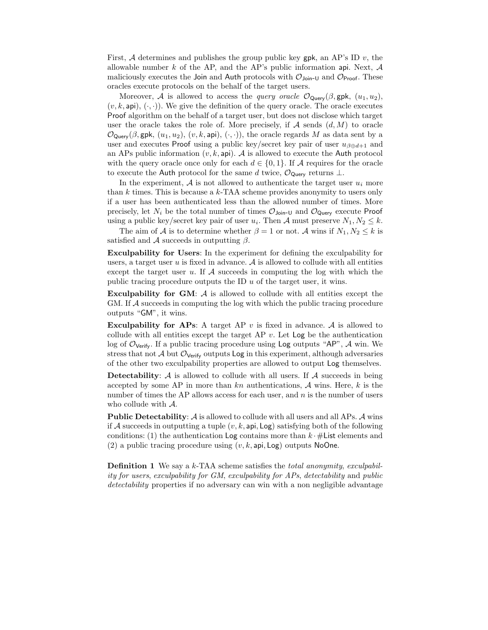First, A determines and publishes the group public key gpk, an AP's ID  $v$ , the allowable number  $k$  of the AP, and the AP's public information api. Next,  $A$ maliciously executes the Join and Auth protocols with  $\mathcal{O}_{Join-U}$  and  $\mathcal{O}_{Proof}$ . These oracles execute protocols on the behalf of the target users.

Moreover, A is allowed to access the *query oracle*  $\mathcal{O}_{\mathsf{Query}}(\beta, \mathsf{gpk}, (u_1, u_2),$  $(v, k, \text{api}), (\cdot, \cdot)$ . We give the definition of the query oracle. The oracle executes Proof algorithm on the behalf of a target user, but does not disclose which target user the oracle takes the role of. More precisely, if  $A$  sends  $(d, M)$  to oracle  $\mathcal{O}_{\mathsf{Query}}(\beta, \mathsf{gpk}, (u_1, u_2), (v, k, \mathsf{api}), (\cdot, \cdot)),$  the oracle regards M as data sent by a user and executes Proof using a public key/secret key pair of user  $u_{\beta \oplus d+1}$  and an APs public information  $(v, k, \text{api})$ . A is allowed to execute the Auth protocol with the query oracle once only for each  $d \in \{0,1\}$ . If A requires for the oracle to execute the Auth protocol for the same d twice,  $\mathcal{O}_{\mathsf{Query}}$  returns  $\perp$ .

In the experiment,  $A$  is not allowed to authenticate the target user  $u_i$  more than  $k$  times. This is because a  $k$ -TAA scheme provides anonymity to users only if a user has been authenticated less than the allowed number of times. More precisely, let  $N_i$  be the total number of times  $\mathcal{O}_{\text{Join-}U}$  and  $\mathcal{O}_{\text{Query}}$  execute Proof using a public key/secret key pair of user  $u_i$ . Then A must preserve  $N_1, N_2 \leq k$ .

The aim of A is to determine whether  $\beta = 1$  or not. A wins if  $N_1, N_2 \leq k$  is satisfied and A succeeds in outputting  $\beta$ .

Exculpability for Users: In the experiment for defining the exculpability for users, a target user  $u$  is fixed in advance.  $A$  is allowed to collude with all entities except the target user  $u$ . If  $A$  succeeds in computing the log with which the public tracing procedure outputs the ID  $u$  of the target user, it wins.

Exculpability for  $GM: A$  is allowed to collude with all entities except the GM. If A succeeds in computing the log with which the public tracing procedure outputs "GM", it wins.

Exculpability for APs: A target AP  $v$  is fixed in advance. A is allowed to collude with all entities except the target AP  $v$ . Let Log be the authentication log of  $\mathcal{O}_{\mathsf{Verify}}$ . If a public tracing procedure using Log outputs "AP", A win. We stress that not  $\mathcal A$  but  $\mathcal O_{\sf Verify}$  outputs Log in this experiment, although adversaries of the other two exculpability properties are allowed to output Log themselves.

**Detectability:**  $\mathcal A$  is allowed to collude with all users. If  $\mathcal A$  succeeds in being accepted by some AP in more than  $kn$  authentications,  $A$  wins. Here,  $k$  is the number of times the AP allows access for each user, and  $n$  is the number of users who collude with A.

**Public Detectability:**  $\mathcal A$  is allowed to collude with all users and all APs.  $\mathcal A$  wins if A succeeds in outputting a tuple  $(v, k, \textsf{api}, \textsf{Log})$  satisfying both of the following conditions: (1) the authentication Log contains more than  $k \cdot \#$  List elements and (2) a public tracing procedure using  $(v, k, \text{api}, \text{Log})$  outputs NoOne.

**Definition 1** We say a  $k$ -TAA scheme satisfies the *total anonymity, exculpabil*ity for users, exculpability for GM, exculpability for APs, detectability and public detectability properties if no adversary can win with a non negligible advantage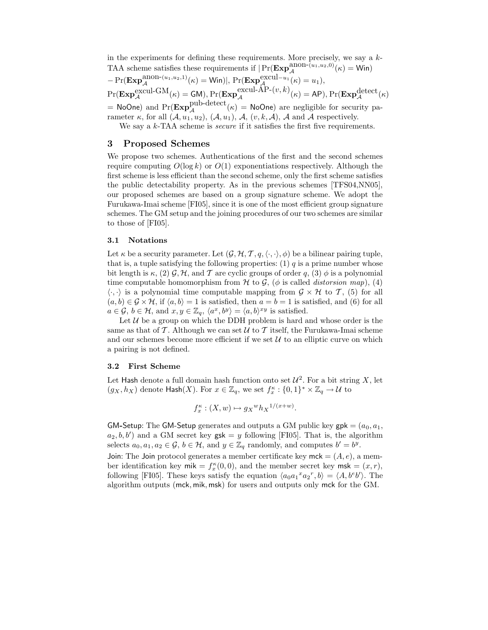in the experiments for defining these requirements. More precisely, we say a  $k$ -TAA scheme satisfies these requirements if  $\Pr(\mathbf{Exp}_{\mathcal{A}}^{\text{anon-}(u_1,u_2,0)}(\kappa) = \text{Win})$  $-\Pr(\mathbf{Exp}_{\mathcal{A}}^{\text{anon}-(u_1,u_2,1)}(\kappa) = \text{Win})|, \Pr(\mathbf{Exp}_{\mathcal{A}}^{\text{excul}-u_1}(\kappa) = u_1),$  $\Pr(\mathbf{Exp}^{\mathrm{excul-GM}}_{\mathcal{A}}(\kappa) = \mathsf{GM}), \Pr(\mathbf{Exp}^{\mathrm{excul-AP-}(v, k)}_{\mathcal{A}}(\kappa) = \mathsf{AP}), \Pr(\mathbf{Exp}^{\mathrm{detect}}_{\mathcal{A}}(\kappa))$ = NoOne) and  $Pr(\mathbf{Exp}_{\mathcal{A}}^{\text{pub-detect}}(\kappa))$  = NoOne) are negligible for security parameter  $\kappa$ , for all  $(\mathcal{A}, u_1, u_2)$ ,  $(\mathcal{A}, u_1)$ ,  $\mathcal{A}, (v, k, \mathcal{A})$ ,  $\mathcal{A}$  and  $\mathcal{A}$  respectively.

We say a k-TAA scheme is *secure* if it satisfies the first five requirements.

## 3 Proposed Schemes

We propose two schemes. Authentications of the first and the second schemes require computing  $O(\log k)$  or  $O(1)$  exponentiations respectively. Although the first scheme is less efficient than the second scheme, only the first scheme satisfies the public detectability property. As in the previous schemes [TFS04,NN05], our proposed schemes are based on a group signature scheme. We adopt the Furukawa-Imai scheme [FI05], since it is one of the most efficient group signature schemes. The GM setup and the joining procedures of our two schemes are similar to those of [FI05].

#### 3.1 Notations

Let  $\kappa$  be a security parameter. Let  $(G, \mathcal{H}, \mathcal{T}, q, \langle \cdot, \cdot \rangle, \phi)$  be a bilinear pairing tuple, that is, a tuple satisfying the following properties: (1)  $q$  is a prime number whose bit length is  $\kappa$ , (2)  $\mathcal{G}, \mathcal{H}$ , and  $\mathcal{T}$  are cyclic groups of order q, (3)  $\phi$  is a polynomial time computable homomorphism from H to G, ( $\phi$  is called *distorsion map*), (4)  $\langle \cdot, \cdot \rangle$  is a polynomial time computable mapping from  $\mathcal{G} \times \mathcal{H}$  to  $\mathcal{T}$ , (5) for all  $(a, b) \in \mathcal{G} \times \mathcal{H}$ , if  $\langle a, b \rangle = 1$  is satisfied, then  $a = b = 1$  is satisfied, and (6) for all  $a \in \mathcal{G}, b \in \mathcal{H}$ , and  $x, y \in \mathbb{Z}_q$ ,  $\langle a^x, b^y \rangle = \langle a, b \rangle^{xy}$  is satisfied.

Let  $U$  be a group on which the DDH problem is hard and whose order is the same as that of  $\mathcal T$ . Although we can set  $\mathcal U$  to  $\mathcal T$  itself, the Furukawa-Imai scheme and our schemes become more efficient if we set  $U$  to an elliptic curve on which a pairing is not defined.

#### 3.2 First Scheme

Let Hash denote a full domain hash function onto set  $\mathcal{U}^2$ . For a bit string X, let  $(g_X, h_X)$  denote  $\mathsf{Hash}(X)$ . For  $x \in \mathbb{Z}_q$ , we set  $f_x^{\kappa} : \{0,1\}^* \times \mathbb{Z}_q \to \mathcal{U}$  to

$$
f_x^{\kappa}: (X, w) \mapsto g_X{}^w h_X{}^{1/(x+w)}.
$$

GM-Setup: The GM-Setup generates and outputs a GM public key  $gpk = (a_0, a_1,$  $a_2, b, b'$  and a GM secret key  $gsk = y$  following [FI05]. That is, the algorithm selects  $a_0, a_1, a_2 \in \mathcal{G}, b \in \mathcal{H}$ , and  $y \in \mathbb{Z}_q$  randomly, and computes  $b' = b^{\bar{y}}$ . Join: The Join protocol generates a member certificate key  $mck = (A, e)$ , a mem-

ber identification key mik =  $f_x^{\kappa}(0,0)$ , and the member secret key msk =  $(x,r)$ , following [FI05]. These keys satisfy the equation  $\langle a_0 a_1^x a_2^x, b \rangle = \langle A, b^e b' \rangle$ . The algorithm outputs (mck, mik, msk) for users and outputs only mck for the GM.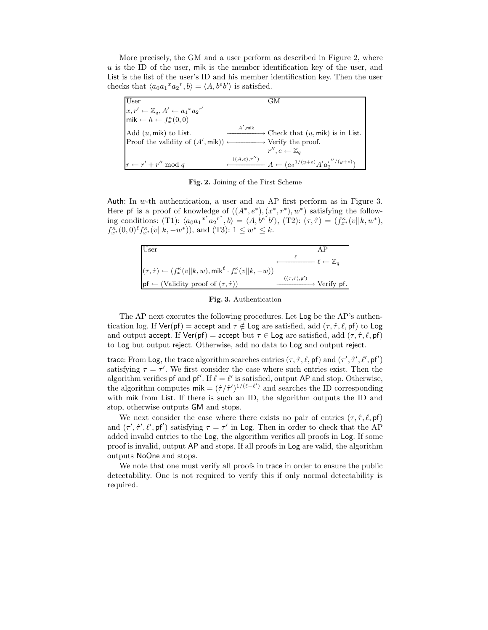More precisely, the GM and a user perform as described in Figure 2, where  $u$  is the ID of the user, mik is the member identification key of the user, and List is the list of the user's ID and his member identification key. Then the user checks that  $\langle a_0 a_1^x a_2^x, b \rangle = \langle A, b^e b' \rangle$  is satisfied.

| User                                                                             |           | GM                                                                                |
|----------------------------------------------------------------------------------|-----------|-----------------------------------------------------------------------------------|
| $x, r' \leftarrow \mathbb{Z}_q, A' \leftarrow a_1^{\ x} a_2^{r'}$                |           |                                                                                   |
| $\mathsf{mik} \leftarrow h \leftarrow f^\kappa_x(0,0)$                           |           |                                                                                   |
| $Add (u, mik)$ to List.                                                          | $A',$ mik | $\longrightarrow$ Check that $(u, \text{mik})$ is in List.                        |
| Proof the validity of $(A', \text{mik})$ $\longleftrightarrow$ Verify the proof. |           |                                                                                   |
|                                                                                  |           | $r'', e \leftarrow \mathbb{Z}_a$                                                  |
| $r \leftarrow r' + r'' \mod q$                                                   |           | $\frac{((A,e),r'')}{(A-e)-r''}$ $A \leftarrow (a_0^{1/(y+e)} A' a_2^{r''/(y+e)})$ |

Fig. 2. Joining of the First Scheme

Auth: In w-th authentication, a user and an AP first perform as in Figure 3. Here pf is a proof of knowledge of  $((A^*,e^*),(x^*,r^*),w^*)$  satisfying the following conditions: (T1):  $\langle a_0 a_1^{x^*} a_2^{x^*}, b \rangle = \langle A, b^{e^*} b' \rangle$ , (T2):  $(\tau, \hat{\tau}) = (\tilde{f}_{x^*}^{\kappa}(v) | k, w^*)$ ,  $f_{x^*}^{\kappa}(0,0)^{\ell} f_{x^*}^{\kappa}(v||k,-w^*)),$  and (T3):  $1 \leq w^* \leq k$ .

| User                                                                                                    |                                                                                                |                                |
|---------------------------------------------------------------------------------------------------------|------------------------------------------------------------------------------------------------|--------------------------------|
|                                                                                                         |                                                                                                | $\ell \leftarrow \mathbb{Z}_a$ |
| $(\tau, \hat{\tau}) \leftarrow (f_x^{\kappa}(v  k, w), \text{mik}^{\ell} \cdot f_x^{\kappa}(v  k, -w))$ |                                                                                                |                                |
| $\mathsf{p}\mathsf{f} \leftarrow (\text{Validity proof of } (\tau, \hat{\tau}))$                        | $\xrightarrow{((\tau,\hat{\tau}),\mathsf{p}\mathsf{f})} \mathsf{Verify} \mathsf{p}\mathsf{f}.$ |                                |

Fig. 3. Authentication

The AP next executes the following procedures. Let Log be the AP's authentication log. If  $\text{Ver}(\text{pf}) = \text{accept}$  and  $\tau \notin \text{Log}$  are satisfied, add  $(\tau, \hat{\tau}, \ell, \text{pf})$  to Log and output accept. If  $\text{Ver}(\text{pf}) = \text{accept}$  but  $\tau \in \text{Log}$  are satisfied, add  $(\tau, \hat{\tau}, \ell, \text{pf})$ to Log but output reject. Otherwise, add no data to Log and output reject.

trace: From Log, the trace algorithm searches entries  $(\tau, \hat{\tau}, \ell, \mathsf{p} \mathsf{f})$  and  $(\tau', \hat{\tau}', \ell', \mathsf{p} \mathsf{f}')$ satisfying  $\tau = \tau'$ . We first consider the case where such entries exist. Then the algorithm verifies pf and pf'. If  $\ell = \ell'$  is satisfied, output AP and stop. Otherwise, the algorithm computes  $m\mathbf{i}\mathbf{k} = (\hat{\tau}/\hat{\tau}')^{1/(\ell-\ell')}$  and searches the ID corresponding with mik from List. If there is such an ID, the algorithm outputs the ID and stop, otherwise outputs GM and stops.

We next consider the case where there exists no pair of entries  $(\tau, \hat{\tau}, \ell, \mathbf{p}f)$ and  $(\tau', \hat{\tau}', \ell', \mathsf{p}f')$  satisfying  $\tau = \tau'$  in Log. Then in order to check that the AP added invalid entries to the Log, the algorithm verifies all proofs in Log. If some proof is invalid, output AP and stops. If all proofs in Log are valid, the algorithm outputs NoOne and stops.

We note that one must verify all proofs in trace in order to ensure the public detectability. One is not required to verify this if only normal detectability is required.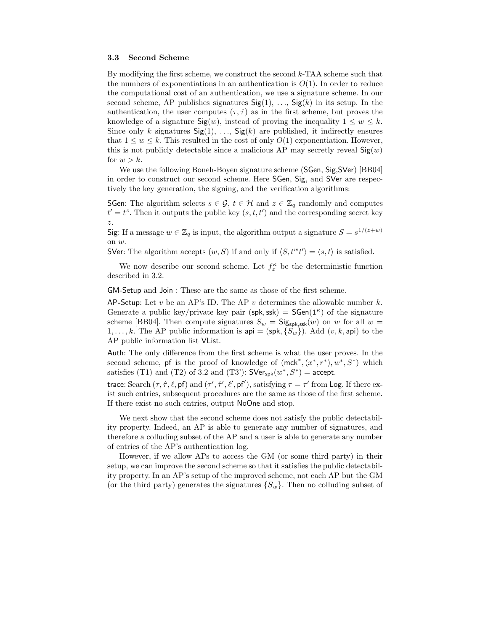#### 3.3 Second Scheme

By modifying the first scheme, we construct the second  $k$ -TAA scheme such that the numbers of exponentiations in an authentication is  $O(1)$ . In order to reduce the computational cost of an authentication, we use a signature scheme. In our second scheme, AP publishes signatures  $\text{Sig}(1), \ldots, \text{Sig}(k)$  in its setup. In the authentication, the user computes  $(\tau, \hat{\tau})$  as in the first scheme, but proves the knowledge of a signature  $\text{Sig}(w)$ , instead of proving the inequality  $1 \leq w \leq k$ . Since only k signatures  $\text{Sig}(1), \ldots, \text{Sig}(k)$  are published, it indirectly ensures that  $1 \leq w \leq k$ . This resulted in the cost of only  $O(1)$  exponentiation. However, this is not publicly detectable since a malicious AP may secretly reveal  $\mathsf{Sig}(w)$ for  $w > k$ .

We use the following Boneh-Boyen signature scheme (SGen, Sig,SVer) [BB04] in order to construct our second scheme. Here SGen, Sig, and SVer are respectively the key generation, the signing, and the verification algorithms:

**SGen:** The algorithm selects  $s \in \mathcal{G}$ ,  $t \in \mathcal{H}$  and  $z \in \mathbb{Z}_q$  randomly and computes  $t' = t^z$ . Then it outputs the public key  $(s, t, t')$  and the corresponding secret key z.

Sig: If a message  $w \in \mathbb{Z}_q$  is input, the algorithm output a signature  $S = s^{1/(z+w)}$ on w.

SVer: The algorithm accepts  $(w, S)$  if and only if  $\langle S, t^w t' \rangle = \langle s, t \rangle$  is satisfied.

We now describe our second scheme. Let  $f_x^{\kappa}$  be the deterministic function described in 3.2.

GM-Setup and Join : These are the same as those of the first scheme.

AP-Setup: Let v be an AP's ID. The AP v determines the allowable number k. Generate a public key/private key pair  $(\textsf{spk}, \textsf{ssk}) = \textsf{SGen}(1^{\kappa})$  of the signature scheme [BB04]. Then compute signatures  $S_w = \mathsf{Sig}_{\mathsf{spk},\mathsf{ssk}}(w)$  on w for all  $w =$ 1,..., k. The AP public information is  $api = (spk, {S_w})$ . Add  $(v, k, api)$  to the AP public information list VList.

Auth: The only difference from the first scheme is what the user proves. In the second scheme, pf is the proof of knowledge of  $(mck^*, (x^*, r^*), w^*, S^*)$  which satisfies (T1) and (T2) of 3.2 and (T3'):  $SVer_{spk}(w^*, S^*) =$  accept.

trace: Search  $(\tau, \hat{\tau}, \ell, \mathsf{p} \mathsf{f})$  and  $(\tau', \hat{\tau}', \ell', \mathsf{p} \mathsf{f}'),$  satisfying  $\tau = \tau'$  from Log. If there exist such entries, subsequent procedures are the same as those of the first scheme. If there exist no such entries, output NoOne and stop.

We next show that the second scheme does not satisfy the public detectability property. Indeed, an AP is able to generate any number of signatures, and therefore a colluding subset of the AP and a user is able to generate any number of entries of the AP's authentication log.

However, if we allow APs to access the GM (or some third party) in their setup, we can improve the second scheme so that it satisfies the public detectability property. In an AP's setup of the improved scheme, not each AP but the GM (or the third party) generates the signatures  $\{S_w\}$ . Then no colluding subset of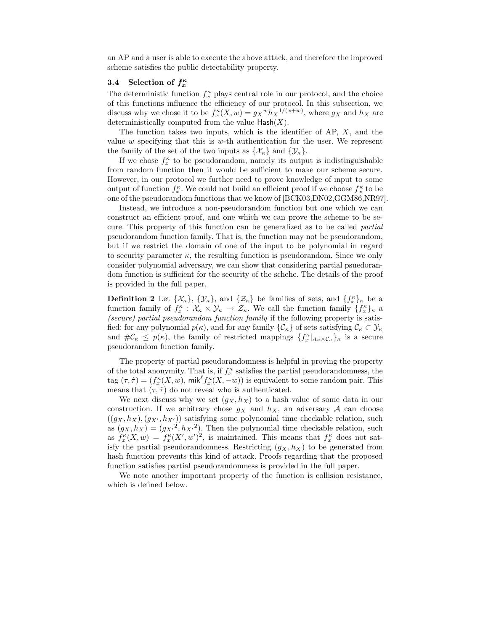an AP and a user is able to execute the above attack, and therefore the improved scheme satisfies the public detectability property.

# 3.4 Selection of  $f_x^{\kappa}$

The deterministic function  $f_x^{\kappa}$  plays central role in our protocol, and the choice of this functions influence the efficiency of our protocol. In this subsection, we discuss why we chose it to be  $f_x^{\kappa}(X, w) = g_X^{\kappa} h_X^{-1/(x+w)}$ , where  $g_X$  and  $h_X$  are deterministically computed from the value  $\textsf{Hash}(X)$ .

The function takes two inputs, which is the identifier of  $AP$ ,  $X$ , and the value  $w$  specifying that this is  $w$ -th authentication for the user. We represent the family of the set of the two inputs as  $\{\mathcal{X}_{\kappa}\}\$  and  $\{\mathcal{Y}_{\kappa}\}.$ 

If we chose  $f_x^{\kappa}$  to be pseudorandom, namely its output is indistinguishable from random function then it would be sufficient to make our scheme secure. However, in our protocol we further need to prove knowledge of input to some output of function  $f_x^{\kappa}$ . We could not build an efficient proof if we choose  $f_x^{\kappa}$  to be one of the pseudorandom functions that we know of [BCK03,DN02,GGM86,NR97].

Instead, we introduce a non-pseudorandom function but one which we can construct an efficient proof, and one which we can prove the scheme to be secure. This property of this function can be generalized as to be called partial pseudorandom function family. That is, the function may not be pseudorandom, but if we restrict the domain of one of the input to be polynomial in regard to security parameter  $\kappa$ , the resulting function is pseudorandom. Since we only consider polynomial adversary, we can show that considering partial psuedorandom function is sufficient for the security of the schehe. The details of the proof is provided in the full paper.

**Definition 2** Let  $\{\mathcal{X}_{\kappa}\}, \{\mathcal{Y}_{\kappa}\}\$ , and  $\{\mathcal{Z}_{\kappa}\}\$  be families of sets, and  $\{f_x^{\kappa}\}_\kappa$  be a function family of  $f_x^{\kappa}$  :  $\mathcal{X}_{\kappa} \times \mathcal{Y}_{\kappa} \to \mathcal{Z}_{\kappa}$ . We call the function family  $\{f_x^{\kappa}\}_{\kappa}$  a (secure) partial pseudorandom function family if the following property is satisfied: for any polynomial  $p(\kappa)$ , and for any family  $\{\mathcal{C}_{\kappa}\}\)$  of sets satisfying  $\mathcal{C}_{\kappa} \subset \mathcal{Y}_{\kappa}$ and  $\#\mathcal{C}_{\kappa} \leq p(\kappa)$ , the family of restricted mappings  $\{f_x^{\kappa}|_{\mathcal{X}_{\kappa}\times\mathcal{C}_{\kappa}}\}_{\kappa}$  is a secure pseudorandom function family.

The property of partial pseudorandomness is helpful in proving the property of the total anonymity. That is, if  $f_x^{\kappa}$  satisfies the partial pseudorandomness, the tag  $(\tau, \hat{\tau}) = (f_x^{\kappa}(X, w), \text{mik}^{\ell} f_x^{\kappa}(X, -w))$  is equivalent to some random pair. This means that  $(\tau, \hat{\tau})$  do not reveal who is authenticated.

We next discuss why we set  $(g_X, h_X)$  to a hash value of some data in our construction. If we arbitrary chose  $g_X$  and  $h_X$ , an adversary A can choose  $((g_X, h_X), (g_{X'}, h_{X'}) )$  satisfying some polynomial time checkable relation, such as  $(g_X, h_X) = (g_{X'}^2, h_{X'}^2)$ . Then the polynomial time checkable relation, such as  $f_x^{\kappa}(X, w) = f_x^{\kappa}(X', w')^2$ , is maintained. This means that  $f_x^{\kappa}$  does not satisfy the partial pseudorandomness. Restricting  $(g_X, h_X)$  to be generated from hash function prevents this kind of attack. Proofs regarding that the proposed function satisfies partial pseudorandomness is provided in the full paper.

We note another important property of the function is collision resistance, which is defined below.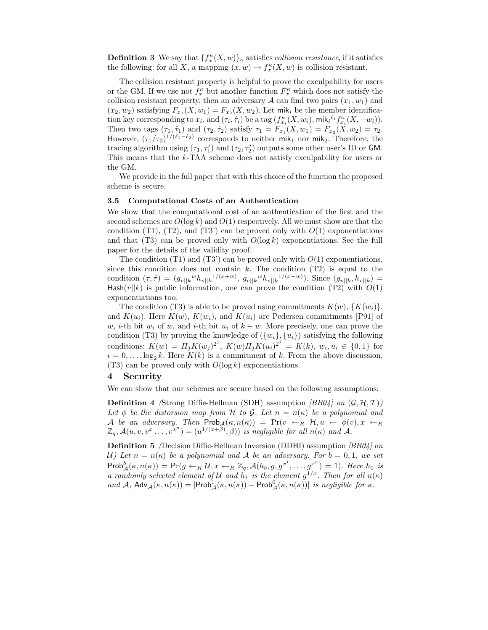**Definition 3** We say that  $\{f_x^{\kappa}(X, w)\}_\kappa$  satisfies *collision resistance*, if it satisfies the following: for all X, a mapping  $(x, w) \mapsto f_x^{\kappa}(X, w)$  is collision resistant.

The collision resistant property is helpful to prove the exculpability for users or the GM. If we use not  $f_x^{\kappa}$  but another function  $F_x^{\kappa}$  which does not satisfy the collision resistant property, then an adversary  $A$  can find two pairs  $(x_1, w_1)$  and  $(x_2, w_2)$  satisfying  $F_{x_1}(X, w_1) = F_{x_2}(X, w_2)$ . Let mik<sub>i</sub> be the member identification key corresponding to  $x_i$ , and  $(\tau_i, \hat{\tau}_i)$  be a tag  $(f_{x_i}^{\kappa}(X, w_i), \text{mik}_i^{\ell_i} f_{x_i}^{\kappa}(X, -w_i)).$ Then two tags  $(\tau_1, \hat{\tau}_1)$  and  $(\tau_2, \hat{\tau}_2)$  satisfy  $\tau_1 = F_{x_1}(X, w_1) = F_{x_2}(X, w_2) = \tau_2$ . However,  $(\tau_1/\tau_2)^{1/(\ell_1-\ell_2)}$  corresponds to neither mik<sub>1</sub> nor mik<sub>2</sub>. Therefore, the tracing algorithm using  $(\tau_1, \tau_1')$  and  $(\tau_2, \tau_2')$  outputs some other user's ID or GM. This means that the k-TAA scheme does not satisfy exculpability for users or the GM.

We provide in the full paper that with this choice of the function the proposed scheme is secure.

#### 3.5 Computational Costs of an Authentication

We show that the computational cost of an authentication of the first and the second schemes are  $O(\log k)$  and  $O(1)$  respectively. All we must show are that the condition (T1), (T2), and (T3') can be proved only with  $O(1)$  exponentiations and that (T3) can be proved only with  $O(\log k)$  exponentiations. See the full paper for the details of the validity proof.

The condition (T1) and (T3') can be proved only with  $O(1)$  exponentiations, since this condition does not contain  $k$ . The condition  $(T2)$  is equal to the condition  $(\tau, \hat{\tau}) = (g_{v||k}{}^w h_{v||k}{}^{1/(x+w)}, g_{v||k}{}^w h_{v||k}{}^{1/(x-w)})$ . Since  $(g_{v||k}, h_{v||k}) =$ Hash $(v||k)$  is public information, one can prove the condition (T2) with  $O(1)$ exponentiations too.

The condition (T3) is able to be proved using commitments  $K(w)$ ,  $\{K(w_i)\}\$ , and  $K(u_i)$ . Here  $K(w_i)$ ,  $K(w_i)$ , and  $K(u_i)$  are Pedersen commitments [P91] of w, i-th bit  $w_i$  of w, and i-th bit  $u_i$  of  $k - w$ . More precisely, one can prove the condition (T3) by proving the knowledge of  $({w_i}, {u_i})$  satisfying the following conditions:  $K(w) = \prod_j K(w_j)^{2^j}$ ,  $K(w) \prod_j K(u_i)^{2^j} = K(k)$ ,  $w_i, u_i \in \{0, 1\}$  for  $i = 0, \ldots, \log_2 k$ . Here  $K(k)$  is a commitment of k. From the above discussion, (T3) can be proved only with  $O(\log k)$  exponentiations.

#### 4 Security

We can show that our schemes are secure based on the following assumptions:

**Definition 4** (Strong Diffie-Hellman (SDH) assumption [BB04] on  $(\mathcal{G}, \mathcal{H}, \mathcal{T})$ ) Let  $\phi$  be the distorsion map from H to G. Let  $n = n(\kappa)$  be a polynomial and A be an adversary. Then  $\text{Prob}_{\mathcal{A}}(\kappa, n(\kappa)) = \Pr(v \leftarrow_R \mathcal{H}, u \leftarrow \phi(v), x \leftarrow_R$  $\mathbb{Z}_q$ ,  $\mathcal{A}(u, v, v^x, \dots, v^{x^n}) = (u^{1/(x+\beta)}, \beta))$  is negligible for all  $n(\kappa)$  and  $\mathcal{A}$ .

Definition 5 (Decision Diffie-Hellman Inversion (DDHI) assumption [BB04] on U) Let  $n = n(\kappa)$  be a polynomial and A be an adversary. For  $b = 0, 1$ , we set  $\mathsf{Prob}^b_{\mathcal{A}}(\kappa,n(\kappa)) = \Pr(g \leftarrow_R \mathcal{U}, x \leftarrow_R \mathbb{Z}_q, \mathcal{A}(h_b,g,g^{x^1},\ldots,g^{x^n}) = 1).$  Here  $h_0$  is a randomly selected element of U and  $h_1$  is the element  $g^{1/x}$ . Then for all  $n(\kappa)$ and A,  $Adv_{\mathcal{A}}(\kappa, n(\kappa)) = \left| Prob_{\mathcal{A}}^1(\kappa, n(\kappa)) - Prob_{\mathcal{A}}^0(\kappa, n(\kappa)) \right|$  is negligible for  $\kappa$ .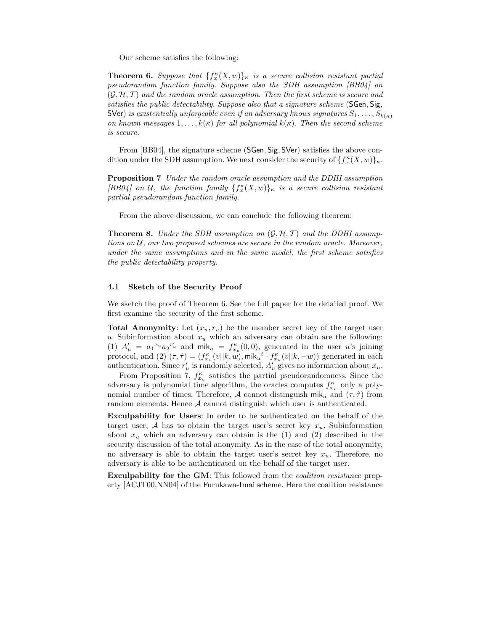Our scheme satisfies the following:

**Theorem 6.** Suppose that  $\{f_x^{\kappa}(X, w)\}_\kappa$  is a secure collision resistant partial pseudorandom function family. Suppose also the SDH assumption [BB04] on  $(G, H, T)$  and the random oracle assumption. Then the first scheme is secure and satisfies the public detectability. Suppose also that a signature scheme (SGen, Sig, SVer) is existentially unforgeable even if an adversary knows signatures  $S_1, \ldots, S_{k(\kappa)}$ on known messages  $1, \ldots, k(\kappa)$  for all polynomial  $k(\kappa)$ . Then the second scheme is secure.

From [BB04], the signature scheme (SGen, Sig, SVer) satisfies the above condition under the SDH assumption. We next consider the security of  $\{f_x^{\kappa}(X, w)\}_\kappa$ .

Proposition 7 Under the random oracle assumption and the DDHI assumption [BB04] on U, the function family  $\{f_x^{\kappa}(X, w)\}_\kappa$  is a secure collision resistant partial pseudorandom function family.

From the above discussion, we can conclude the following theorem:

**Theorem 8.** Under the SDH assumption on  $(\mathcal{G}, \mathcal{H}, \mathcal{T})$  and the DDHI assumptions on  $\mathcal{U}$ , our two proposed schemes are secure in the random oracle. Moreover, under the same assumptions and in the same model, the first scheme satisfies the public detectability property.

#### 4.1 Sketch of the Security Proof

We sketch the proof of Theorem 6. See the full paper for the detailed proof. We first examine the security of the first scheme.

**Total Anonymity:** Let  $(x_u, r_u)$  be the member secret key of the target user u. Subinformation about  $x<sub>u</sub>$  which an adversary can obtain are the following: (1)  $A'_u = a_1^{x_u} a_2^{r'_u}$  and  $m \mathsf{i} \mathsf{k}_u = f_{x_u}^{\kappa}(0,0)$ , generated in the user u's joining protocol, and (2)  $(\tau, \hat{\tau}) = (f_{x_u}^{\kappa}(v||k, w), \min_{\ell} \ell \cdot f_{x_u}^{\kappa}(v||k, -w))$  generated in each authentication. Since  $r'_u$  is randomly selected,  $A'_u$  gives no information about  $x_u$ .

From Proposition 7,  $f_{x_u}^{\kappa}$  satisfies the partial pseudorandomness. Since the adversary is polynomial time algorithm, the oracles computes  $f_{x_u}^{\kappa}$  only a polynomial number of times. Therefore, A cannot distinguish  $m\mathbf{k}_u$  and  $(\tau, \hat{\tau})$  from random elements. Hence A cannot distinguish which user is authenticated.

Exculpability for Users: In order to be authenticated on the behalf of the target user, A has to obtain the target user's secret key  $x_u$ . Subinformation about  $x_u$  which an adversary can obtain is the (1) and (2) described in the security discussion of the total anonymity. As in the case of the total anonymity, no adversary is able to obtain the target user's secret key  $x_u$ . Therefore, no adversary is able to be authenticated on the behalf of the target user.

Exculpability for the GM: This followed from the *coalition resistance* property [ACJT00,NN04] of the Furukawa-Imai scheme. Here the coalition resistance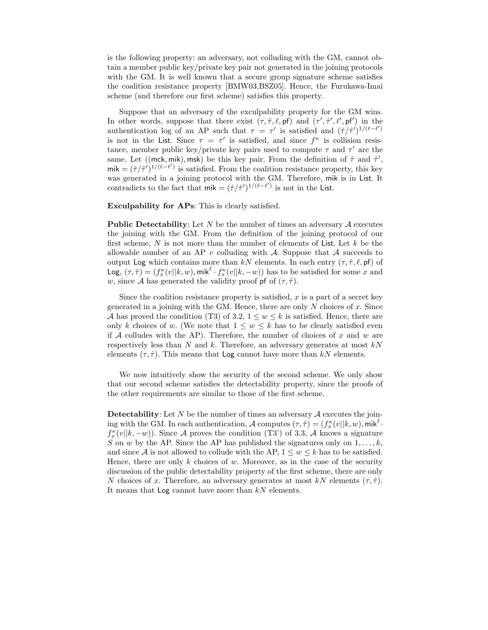is the following property: an adversary, not colluding with the GM, cannot obtain a member public key/private key pair not generated in the joining protocols with the GM. It is well known that a secure group signature scheme satisfies the coalition resistance property [BMW03,BSZ05]. Hence, the Furukawa-Imai scheme (and therefore our first scheme) satisfies this property.

Suppose that an adversary of the exculpability property for the GM wins. In other words, suppose that there exist  $(\tau, \hat{\tau}, \ell, \mathsf{p} \mathsf{f})$  and  $(\tau', \hat{\tau}', \ell', \mathsf{p} \mathsf{f}')$  in the authentication log of an AP such that  $\tau = \tau'$  is satisfied and  $(\tau'(\tau')^{1/(\ell-\ell')})$ is not in the List. Since  $\tau = \tau'$  is satisfied, and since  $f^{\kappa}$  is collision resistance, member public key/private key pairs used to compute  $\tau$  and  $\tau'$  are the same. Let ((mck, mik), msk) be this key pair. From the definition of  $\hat{\tau}$  and  $\hat{\tau}'$ , mik =  $(\hat{\tau}/\hat{\tau}')^{1/(\ell-\ell')}$  is satisfied. From the coalition resistance property, this key was generated in a joining protocol with the GM. Therefore, mik is in List. It contradicts to the fact that  $mik = (\hat{\tau}/\hat{\tau}')^{1/(\ell-\ell')}$  is not in the List.

Exculpability for APs: This is clearly satisfied.

**Public Detectability:** Let N be the number of times an adversary  $A$  executes the joining with the GM. From the definition of the joining protocol of our first scheme,  $N$  is not more than the number of elements of List. Let  $k$  be the allowable number of an AP v colluding with  $A$ . Suppose that  $A$  succeeds to output Log which contains more than kN elements. In each entry  $(\tau, \hat{\tau}, \ell, \mathsf{pf})$  of Log,  $(\tau, \hat{\tau}) = (f_x^{\kappa}(v||k, w), \text{mik}^{\ell} \cdot f_x^{\kappa}(v||k, -w))$  has to be satisfied for some x and w, since A has generated the validity proof pf of  $(\tau, \hat{\tau})$ .

Since the coalition resistance property is satisfied,  $x$  is a part of a secret key generated in a joining with the GM. Hence, there are only  $N$  choices of  $x$ . Since A has proved the condition (T3) of 3.2,  $1 \leq w \leq k$  is satisfied. Hence, there are only k choices of w. (We note that  $1 \leq w \leq k$  has to be clearly satisfied even if A colludes with the AP). Therefore, the number of choices of x and w are respectively less than N and k. Therefore, an adversary generates at most  $k$ N elements  $(\tau, \hat{\tau})$ . This means that Log cannot have more than kN elements.

We now intuitively show the security of the second scheme. We only show that our second scheme satisfies the detectability property, since the proofs of the other requirements are similar to those of the first scheme.

**Detectability:** Let  $N$  be the number of times an adversary  $\mathcal A$  executes the joining with the GM. In each authentication,  $\mathcal A$  computes  $(\tau, \hat \tau) = (f_x^{\kappa}(v||k, w), \mathsf{mik}^{\ell} \cdot$  $f_x^{\kappa}(v||k, -w)$ ). Since A proves the condition (T3') of 3.3, A knows a signature S on w by the AP. Since the AP has published the signatures only on  $1, \ldots, k$ , and since A is not allowed to collude with the AP,  $1 \leq w \leq k$  has to be satisfied. Hence, there are only k choices of w. Moreover, as in the case of the security discussion of the public detectability property of the first scheme, there are only N choices of x. Therefore, an adversary generates at most kN elements  $(\tau, \hat{\tau})$ . It means that  $\text{Log}$  cannot have more than  $kN$  elements.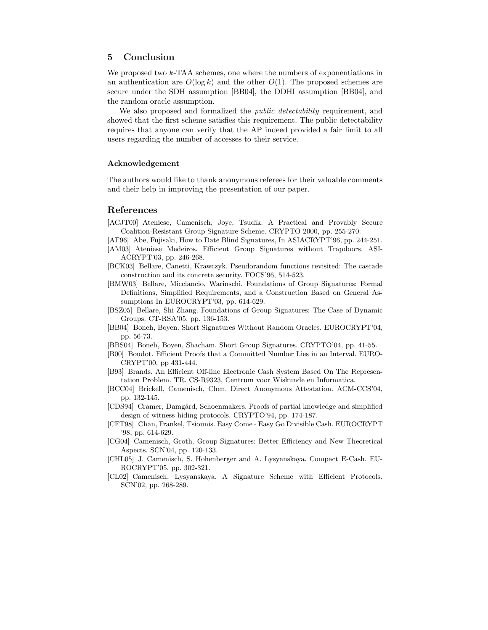# 5 Conclusion

We proposed two k-TAA schemes, one where the numbers of exponentiations in an authentication are  $O(\log k)$  and the other  $O(1)$ . The proposed schemes are secure under the SDH assumption [BB04], the DDHI assumption [BB04], and the random oracle assumption.

We also proposed and formalized the *public detectability* requirement, and showed that the first scheme satisfies this requirement. The public detectability requires that anyone can verify that the AP indeed provided a fair limit to all users regarding the number of accesses to their service.

#### Acknowledgement

The authors would like to thank anonymous referees for their valuable comments and their help in improving the presentation of our paper.

#### References

- [ACJT00] Ateniese, Camenisch, Joye, Tsudik. A Practical and Provably Secure Coalition-Resistant Group Signature Scheme. CRYPTO 2000, pp. 255-270.
- [AF96] Abe, Fujisaki, How to Date Blind Signatures, In ASIACRYPT'96, pp. 244-251.
- [AM03] Ateniese Medeiros. Efficient Group Signatures without Trapdoors. ASI-ACRYPT'03, pp. 246-268.
- [BCK03] Bellare, Canetti, Krawczyk. Pseudorandom functions revisited: The cascade construction and its concrete security. FOCS'96, 514-523.
- [BMW03] Bellare, Micciancio, Warinschi. Foundations of Group Signatures: Formal Definitions, Simplified Requirements, and a Construction Based on General Assumptions In EUROCRYPT'03, pp. 614-629.
- [BSZ05] Bellare, Shi Zhang. Foundations of Group Signatures: The Case of Dynamic Groups. CT-RSA'05, pp. 136-153.
- [BB04] Boneh, Boyen. Short Signatures Without Random Oracles. EUROCRYPT'04, pp. 56-73.
- [BBS04] Boneh, Boyen, Shacham. Short Group Signatures. CRYPTO'04, pp. 41-55.
- [B00] Boudot. Efficient Proofs that a Committed Number Lies in an Interval. EURO-CRYPT'00, pp 431-444.
- [B93] Brands. An Efficient Off-line Electronic Cash System Based On The Representation Problem. TR. CS-R9323, Centrum voor Wiskunde en Informatica.
- [BCC04] Brickell, Camenisch, Chen. Direct Anonymous Attestation. ACM-CCS'04, pp. 132-145.
- [CDS94] Cramer, Damgård, Schoenmakers. Proofs of partial knowledge and simplified design of witness hiding protocols. CRYPTO'94, pp. 174-187.
- [CFT98] Chan, Frankel, Tsiounis. Easy Come Easy Go Divisible Cash. EUROCRYPT '98, pp. 614-629.
- [CG04] Camenisch, Groth. Group Signatures: Better Efficiency and New Theoretical Aspects. SCN'04, pp. 120-133.
- [CHL05] J. Camenisch, S. Hohenberger and A. Lysyanskaya. Compact E-Cash. EU-ROCRYPT'05, pp. 302-321.
- [CL02] Camenisch, Lysyanskaya. A Signature Scheme with Efficient Protocols. SCN'02, pp. 268-289.